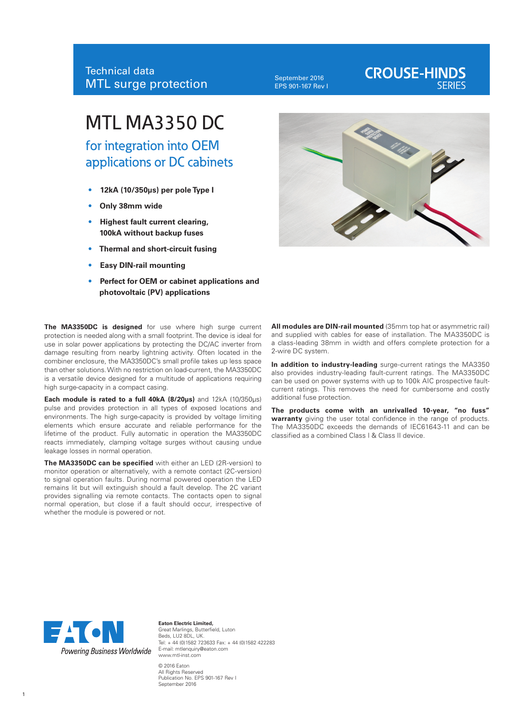#### September 2016 EPS 901-167 Rev I

## **CROUSE-HINDS**

# MTL MA3350 DC

for integration into OEM applications or DC cabinets

- **12kA (10/350µs) per pole Type I**
- **Only 38mm wide**
- **Highest fault current clearing, 100kA without backup fuses**
- **Thermal and short-circuit fusing**
- **Easy DIN-rail mounting**
- **Perfect for OEM or cabinet applications and photovoltaic (PV) applications**

**The MA3350DC is designed** for use where high surge current protection is needed along with a small footprint. The device is ideal for use in solar power applications by protecting the DC/AC inverter from damage resulting from nearby lightning activity. Often located in the combiner enclosure, the MA3350DC's small profile takes up less space than other solutions. With no restriction on load-current, the MA3350DC is a versatile device designed for a multitude of applications requiring high surge-capacity in a compact casing.

**Each module is rated to a full 40kA (8/20µs)** and 12kA (10/350µs) pulse and provides protection in all types of exposed locations and environments. The high surge-capacity is provided by voltage limiting elements which ensure accurate and reliable performance for the lifetime of the product. Fully automatic in operation the MA3350DC reacts immediately, clamping voltage surges without causing undue leakage losses in normal operation.

**The MA3350DC can be specified** with either an LED (2R-version) to monitor operation or alternatively, with a remote contact (2C-version) to signal operation faults. During normal powered operation the LED remains lit but will extinguish should a fault develop. The 2C variant provides signalling via remote contacts. The contacts open to signal normal operation, but close if a fault should occur, irrespective of whether the module is powered or not.



**All modules are DIN-rail mounted** (35mm top hat or asymmetric rail) and supplied with cables for ease of installation. The MA3350DC is a class-leading 38mm in width and offers complete protection for a 2-wire DC system.

**In addition to industry-leading** surge-current ratings the MA3350 also provides industry-leading fault-current ratings. The MA3350DC can be used on power systems with up to 100k AIC prospective faultcurrent ratings. This removes the need for cumbersome and costly additional fuse protection.

**The products come with an unrivalled 10-year, "no fuss" warranty** giving the user total confidence in the range of products. The MA3350DC exceeds the demands of IEC61643-11 and can be classified as a combined Class I & Class II device.



**Eaton Electric Limited,** Great Marlings, Butterfield, Luton Beds, LU2 8DL, UK. Tel: + 44 (0)1582 723633 Fax: + 44 (0)1582 422283 E-mail: mtlenquiry@eaton.com www.mtl-inst.com © 2016 Eaton

All Rights Reserved Publication No. EPS 901-167 Rev I September 2016